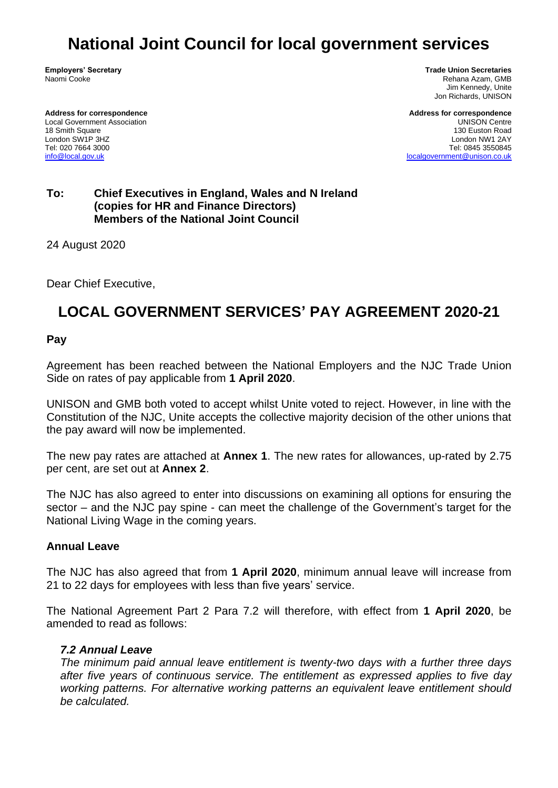# **National Joint Council for local government services**

**Employers' Secretary** Naomi Cooke

**Address for correspondence** Local Government Association 18 Smith Square London SW1P 3HZ Tel: 020 7664 3000 [info@local.gov.uk](mailto:info@local.gov.uk)

**Trade Union Secretaries** Rehana Azam, GMB Jim Kennedy, Unite Jon Richards, UNISON

**Address for correspondence** UNISON Centre 130 Euston Road London NW1 2AY Tel: 0845 3550845 [localgovernment@unison.co.uk](mailto:localgovernment@unison.co.uk)

#### **To: Chief Executives in England, Wales and N Ireland (copies for HR and Finance Directors) Members of the National Joint Council**

24 August 2020

Dear Chief Executive,

## **LOCAL GOVERNMENT SERVICES' PAY AGREEMENT 2020-21**

#### **Pay**

Agreement has been reached between the National Employers and the NJC Trade Union Side on rates of pay applicable from **1 April 2020**.

UNISON and GMB both voted to accept whilst Unite voted to reject. However, in line with the Constitution of the NJC, Unite accepts the collective majority decision of the other unions that the pay award will now be implemented.

The new pay rates are attached at **Annex 1**. The new rates for allowances, up-rated by 2.75 per cent, are set out at **Annex 2**.

The NJC has also agreed to enter into discussions on examining all options for ensuring the sector – and the NJC pay spine - can meet the challenge of the Government's target for the National Living Wage in the coming years.

#### **Annual Leave**

The NJC has also agreed that from **1 April 2020**, minimum annual leave will increase from 21 to 22 days for employees with less than five years' service.

The National Agreement Part 2 Para 7.2 will therefore, with effect from **1 April 2020**, be amended to read as follows:

#### *7.2 Annual Leave*

*The minimum paid annual leave entitlement is twenty-two days with a further three days after five years of continuous service. The entitlement as expressed applies to five day working patterns. For alternative working patterns an equivalent leave entitlement should be calculated.*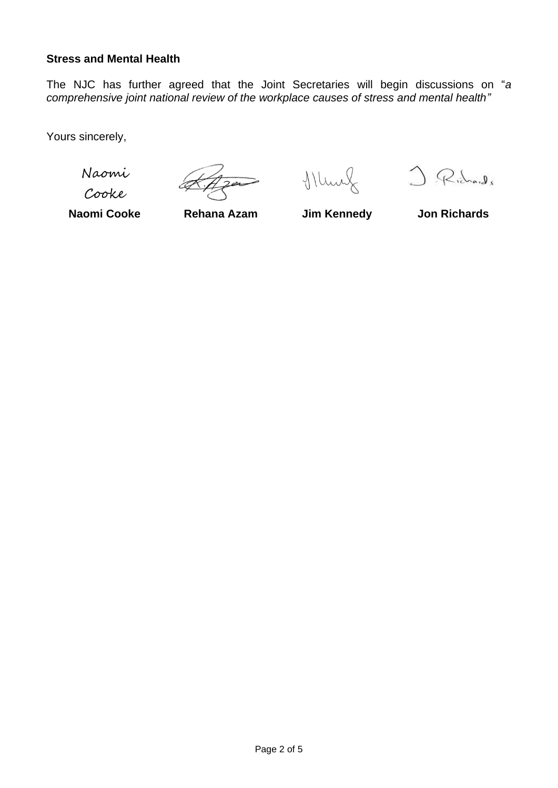#### **Stress and Mental Health**

The NJC has further agreed that the Joint Secretaries will begin discussions on "*a comprehensive joint national review of the workplace causes of stress and mental health"*

Yours sincerely,

Naomi

Cooke

 $\geq$ 

Murf J. Richards

**Naomi Cooke Rehana Azam Jim Kennedy Jon Richards**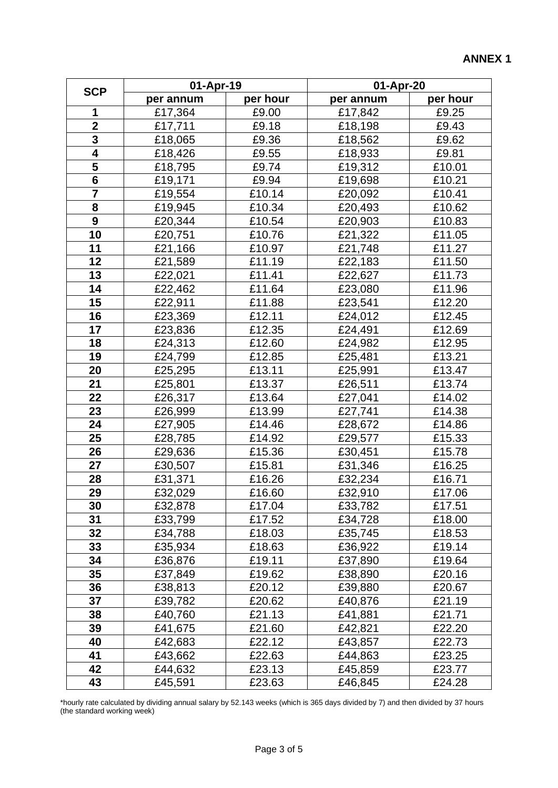| <b>SCP</b>              | 01-Apr-19 |          | 01-Apr-20 |          |
|-------------------------|-----------|----------|-----------|----------|
|                         | per annum | per hour | per annum | per hour |
| 1                       | £17,364   | £9.00    | £17,842   | £9.25    |
| $\overline{\mathbf{2}}$ | £17,711   | £9.18    | £18,198   | £9.43    |
| $\overline{\mathbf{3}}$ | £18,065   | £9.36    | £18,562   | £9.62    |
| $\overline{\mathbf{4}}$ | £18,426   | £9.55    | £18,933   | £9.81    |
| 5                       | £18,795   | £9.74    | £19,312   | £10.01   |
| $6\phantom{1}$          | £19,171   | £9.94    | £19,698   | £10.21   |
| $\overline{7}$          | £19,554   | £10.14   | £20,092   | £10.41   |
| 8                       | £19,945   | £10.34   | £20,493   | £10.62   |
| $\boldsymbol{9}$        | £20,344   | £10.54   | £20,903   | £10.83   |
| 10                      | £20,751   | £10.76   | £21,322   | £11.05   |
| 11                      | £21,166   | £10.97   | £21,748   | £11.27   |
| 12                      | £21,589   | £11.19   | £22,183   | £11.50   |
| 13                      | £22,021   | £11.41   | £22,627   | £11.73   |
| 14                      | £22,462   | £11.64   | £23,080   | £11.96   |
| 15                      | £22,911   | £11.88   | £23,541   | £12.20   |
| 16                      | £23,369   | £12.11   | £24,012   | £12.45   |
| 17                      | £23,836   | £12.35   | £24,491   | £12.69   |
| 18                      | £24,313   | £12.60   | £24,982   | £12.95   |
| 19                      | £24,799   | £12.85   | £25,481   | £13.21   |
| 20                      | £25,295   | £13.11   | £25,991   | £13.47   |
| 21                      | £25,801   | £13.37   | £26,511   | £13.74   |
| 22                      | £26,317   | £13.64   | £27,041   | £14.02   |
| 23                      | £26,999   | £13.99   | £27,741   | £14.38   |
| 24                      | £27,905   | £14.46   | £28,672   | £14.86   |
| 25                      | £28,785   | £14.92   | £29,577   | £15.33   |
| 26                      | £29,636   | £15.36   | £30,451   | £15.78   |
| 27                      | £30,507   | £15.81   | £31,346   | £16.25   |
| 28                      | £31,371   | £16.26   | £32,234   | £16.71   |
| 29                      | £32,029   | £16.60   | £32,910   | £17.06   |
| 30                      | £32,878   | £17.04   | £33,782   | £17.51   |
| 31                      | £33,799   | £17.52   | £34,728   | £18.00   |
| 32                      | £34,788   | £18.03   | £35,745   | £18.53   |
| 33                      | £35,934   | £18.63   | £36,922   | £19.14   |
| 34                      | £36,876   | £19.11   | £37,890   | £19.64   |
| 35                      | £37,849   | £19.62   | £38,890   | £20.16   |
| 36                      | £38,813   | £20.12   | £39,880   | £20.67   |
| 37                      | £39,782   | £20.62   | £40,876   | £21.19   |
| 38                      | £40,760   | £21.13   | £41,881   | £21.71   |
| 39                      | £41,675   | £21.60   | £42,821   | £22.20   |
| 40                      | £42,683   | £22.12   | £43,857   | £22.73   |
| 41                      | £43,662   | £22.63   | £44,863   | £23.25   |
| 42                      | £44,632   | £23.13   | £45,859   | £23.77   |
| 43                      | £45,591   | £23.63   | £46,845   | £24.28   |

\*hourly rate calculated by dividing annual salary by 52.143 weeks (which is 365 days divided by 7) and then divided by 37 hours (the standard working week)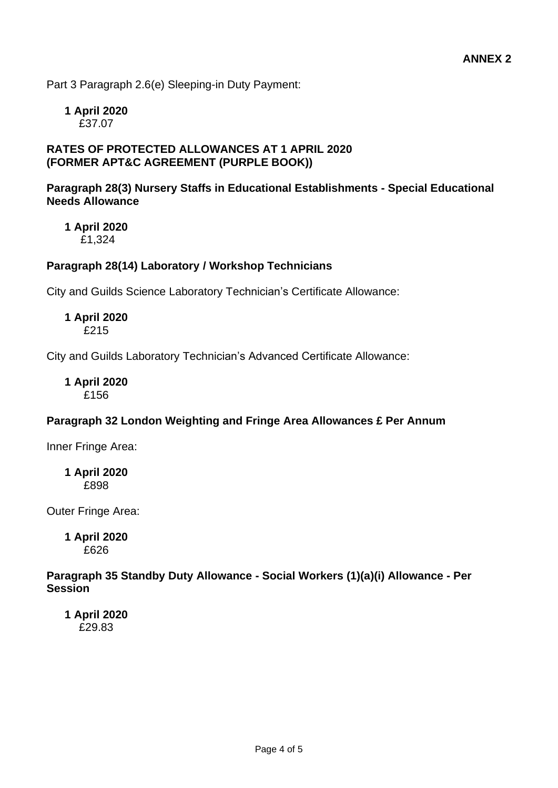Part 3 Paragraph 2.6(e) Sleeping-in Duty Payment:

**1 April 2020** £37.07

#### **RATES OF PROTECTED ALLOWANCES AT 1 APRIL 2020 (FORMER APT&C AGREEMENT (PURPLE BOOK))**

#### **Paragraph 28(3) Nursery Staffs in Educational Establishments - Special Educational Needs Allowance**

**1 April 2020** £1,324

#### **Paragraph 28(14) Laboratory / Workshop Technicians**

City and Guilds Science Laboratory Technician's Certificate Allowance:

**1 April 2020** £215

City and Guilds Laboratory Technician's Advanced Certificate Allowance:

**1 April 2020** £156

#### **Paragraph 32 London Weighting and Fringe Area Allowances £ Per Annum**

Inner Fringe Area:

**1 April 2020** £898

Outer Fringe Area:

**1 April 2020** £626

#### **Paragraph 35 Standby Duty Allowance - Social Workers (1)(a)(i) Allowance - Per Session**

**1 April 2020** £29.83